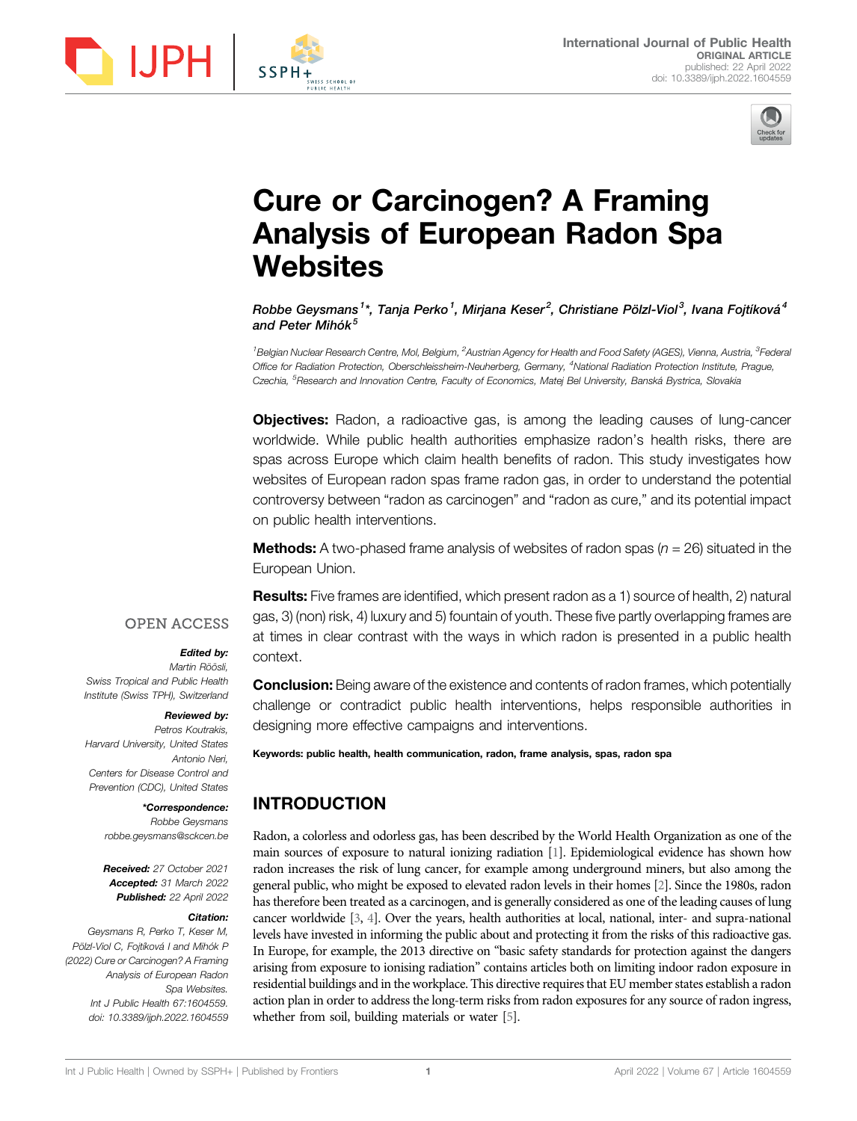



# Cure or Carcinogen? A Framing Analysis of European Radon Spa **Websites**

Robbe Gevsmans<sup>1</sup>\*, Tania Perko<sup>1</sup>, Miriana Keser<sup>2</sup>, Christiane Pölzl-Viol<sup>3</sup>, Ivana Foitíková<sup>4</sup> and Peter Mihók $<sup>5</sup>$ </sup>

<sup>1</sup>Belgian Nuclear Research Centre, Mol, Belgium, <sup>2</sup>Austrian Agency for Health and Food Safety (AGES), Vienna, Austria, <sup>3</sup>Federal Office for Radiation Protection, Oberschleissheim-Neuherberg, Germany, <sup>4</sup>National Radiation Protection Institute, Prague, Czechia, <sup>5</sup>Research and Innovation Centre, Faculty of Economics, Matej Bel University, Banská Bystrica, Slovakia

**Objectives:** Radon, a radioactive gas, is among the leading causes of lung-cancer worldwide. While public health authorities emphasize radon's health risks, there are spas across Europe which claim health benefits of radon. This study investigates how websites of European radon spas frame radon gas, in order to understand the potential controversy between "radon as carcinogen" and "radon as cure," and its potential impact on public health interventions.

**Methods:** A two-phased frame analysis of websites of radon spas  $(n = 26)$  situated in the European Union.

**Results:** Five frames are identified, which present radon as a 1) source of health, 2) natural context.

#### **OPEN ACCESS**

#### Edited by:

Martin Röösli, Swiss Tropical and Public Health Institute (Swiss TPH), Switzerland

#### Reviewed by:

Petros Koutrakis, Harvard University, United States Antonio Neri, Centers for Disease Control and Prevention (CDC), United States

#### \*Correspondence:

Robbe Geysmans [robbe.geysmans@sckcen.be](mailto:robbe.geysmans@sckcen.be)

Received: 27 October 2021 Accepted: 31 March 2022 Published: 22 April 2022

#### Citation:

Geysmans R, Perko T, Keser M, Pölzl-Viol C, Fojtíková I and Mihók P (2022) Cure or Carcinogen? A Framing Analysis of European Radon Spa Websites. Int J Public Health 67:1604559. doi: [10.3389/ijph.2022.1604559](https://doi.org/10.3389/ijph.2022.1604559)

gas, 3) (non) risk, 4) luxury and 5) fountain of youth. These five partly overlapping frames are at times in clear contrast with the ways in which radon is presented in a public health

**Conclusion:** Being aware of the existence and contents of radon frames, which potentially challenge or contradict public health interventions, helps responsible authorities in designing more effective campaigns and interventions.

Keywords: public health, health communication, radon, frame analysis, spas, radon spa

# INTRODUCTION

Radon, a colorless and odorless gas, has been described by the World Health Organization as one of the main sources of exposure to natural ionizing radiation [\[1](#page-5-0)]. Epidemiological evidence has shown how radon increases the risk of lung cancer, for example among underground miners, but also among the general public, who might be exposed to elevated radon levels in their homes [\[2\]](#page-5-1). Since the 1980s, radon has therefore been treated as a carcinogen, and is generally considered as one of the leading causes of lung cancer worldwide [\[3](#page-5-2), [4\]](#page-5-3). Over the years, health authorities at local, national, inter- and supra-national levels have invested in informing the public about and protecting it from the risks of this radioactive gas. In Europe, for example, the 2013 directive on "basic safety standards for protection against the dangers arising from exposure to ionising radiation" contains articles both on limiting indoor radon exposure in residential buildings and in the workplace. This directive requires that EU member states establish a radon action plan in order to address the long-term risks from radon exposures for any source of radon ingress, whether from soil, building materials or water [\[5](#page-5-4)].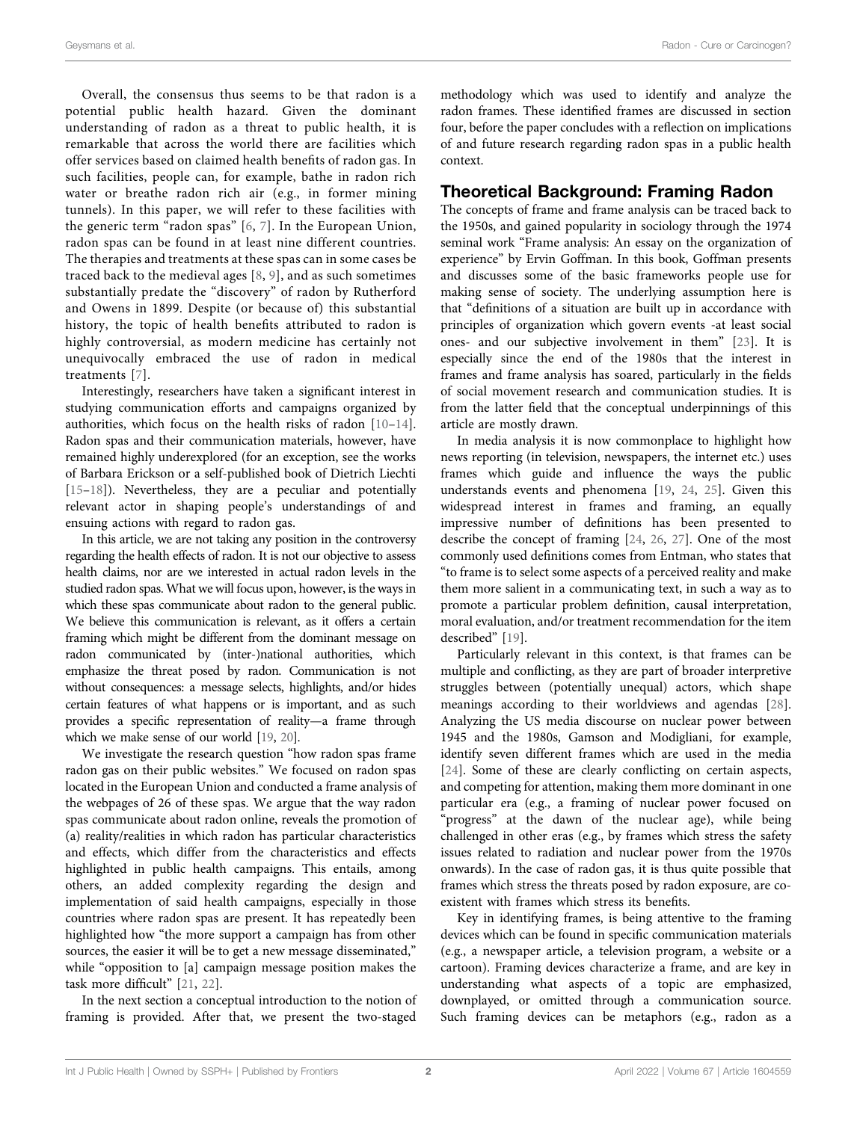Overall, the consensus thus seems to be that radon is a potential public health hazard. Given the dominant understanding of radon as a threat to public health, it is remarkable that across the world there are facilities which offer services based on claimed health benefits of radon gas. In such facilities, people can, for example, bathe in radon rich water or breathe radon rich air (e.g., in former mining tunnels). In this paper, we will refer to these facilities with the generic term "radon spas" [[6,](#page-5-5) [7](#page-5-6)]. In the European Union, radon spas can be found in at least nine different countries. The therapies and treatments at these spas can in some cases be traced back to the medieval ages [[8](#page-5-7), [9\]](#page-5-8), and as such sometimes substantially predate the "discovery" of radon by Rutherford and Owens in 1899. Despite (or because of) this substantial history, the topic of health benefits attributed to radon is highly controversial, as modern medicine has certainly not unequivocally embraced the use of radon in medical treatments [\[7\]](#page-5-6).

Interestingly, researchers have taken a significant interest in studying communication efforts and campaigns organized by authorities, which focus on the health risks of radon [[10](#page-5-9)–[14\]](#page-5-10). Radon spas and their communication materials, however, have remained highly underexplored (for an exception, see the works of Barbara Erickson or a self-published book of Dietrich Liechti [[15](#page-5-11)–[18\]](#page-5-12)). Nevertheless, they are a peculiar and potentially relevant actor in shaping people's understandings of and ensuing actions with regard to radon gas.

In this article, we are not taking any position in the controversy regarding the health effects of radon. It is not our objective to assess health claims, nor are we interested in actual radon levels in the studied radon spas. What we will focus upon, however, is the ways in which these spas communicate about radon to the general public. We believe this communication is relevant, as it offers a certain framing which might be different from the dominant message on radon communicated by (inter-)national authorities, which emphasize the threat posed by radon. Communication is not without consequences: a message selects, highlights, and/or hides certain features of what happens or is important, and as such provides a specific representation of reality—a frame through which we make sense of our world [\[19,](#page-5-13) [20\]](#page-5-14).

We investigate the research question "how radon spas frame radon gas on their public websites." We focused on radon spas located in the European Union and conducted a frame analysis of the webpages of 26 of these spas. We argue that the way radon spas communicate about radon online, reveals the promotion of (a) reality/realities in which radon has particular characteristics and effects, which differ from the characteristics and effects highlighted in public health campaigns. This entails, among others, an added complexity regarding the design and implementation of said health campaigns, especially in those countries where radon spas are present. It has repeatedly been highlighted how "the more support a campaign has from other sources, the easier it will be to get a new message disseminated," while "opposition to [a] campaign message position makes the task more difficult" [[21](#page-5-15), [22](#page-5-16)].

In the next section a conceptual introduction to the notion of framing is provided. After that, we present the two-staged

methodology which was used to identify and analyze the radon frames. These identified frames are discussed in section four, before the paper concludes with a reflection on implications of and future research regarding radon spas in a public health context.

#### Theoretical Background: Framing Radon

The concepts of frame and frame analysis can be traced back to the 1950s, and gained popularity in sociology through the 1974 seminal work "Frame analysis: An essay on the organization of experience" by Ervin Goffman. In this book, Goffman presents and discusses some of the basic frameworks people use for making sense of society. The underlying assumption here is that "definitions of a situation are built up in accordance with principles of organization which govern events -at least social ones- and our subjective involvement in them" [\[23](#page-5-17)]. It is especially since the end of the 1980s that the interest in frames and frame analysis has soared, particularly in the fields of social movement research and communication studies. It is from the latter field that the conceptual underpinnings of this article are mostly drawn.

In media analysis it is now commonplace to highlight how news reporting (in television, newspapers, the internet etc.) uses frames which guide and influence the ways the public understands events and phenomena [[19,](#page-5-13) [24,](#page-5-18) [25\]](#page-5-19). Given this widespread interest in frames and framing, an equally impressive number of definitions has been presented to describe the concept of framing [\[24](#page-5-18), [26](#page-5-20), [27\]](#page-5-21). One of the most commonly used definitions comes from Entman, who states that "to frame is to select some aspects of a perceived reality and make them more salient in a communicating text, in such a way as to promote a particular problem definition, causal interpretation, moral evaluation, and/or treatment recommendation for the item described" [\[19](#page-5-13)].

Particularly relevant in this context, is that frames can be multiple and conflicting, as they are part of broader interpretive struggles between (potentially unequal) actors, which shape meanings according to their worldviews and agendas [[28\]](#page-5-22). Analyzing the US media discourse on nuclear power between 1945 and the 1980s, Gamson and Modigliani, for example, identify seven different frames which are used in the media [\[24](#page-5-18)]. Some of these are clearly conflicting on certain aspects, and competing for attention, making them more dominant in one particular era (e.g., a framing of nuclear power focused on "progress" at the dawn of the nuclear age), while being challenged in other eras (e.g., by frames which stress the safety issues related to radiation and nuclear power from the 1970s onwards). In the case of radon gas, it is thus quite possible that frames which stress the threats posed by radon exposure, are coexistent with frames which stress its benefits.

Key in identifying frames, is being attentive to the framing devices which can be found in specific communication materials (e.g., a newspaper article, a television program, a website or a cartoon). Framing devices characterize a frame, and are key in understanding what aspects of a topic are emphasized, downplayed, or omitted through a communication source. Such framing devices can be metaphors (e.g., radon as a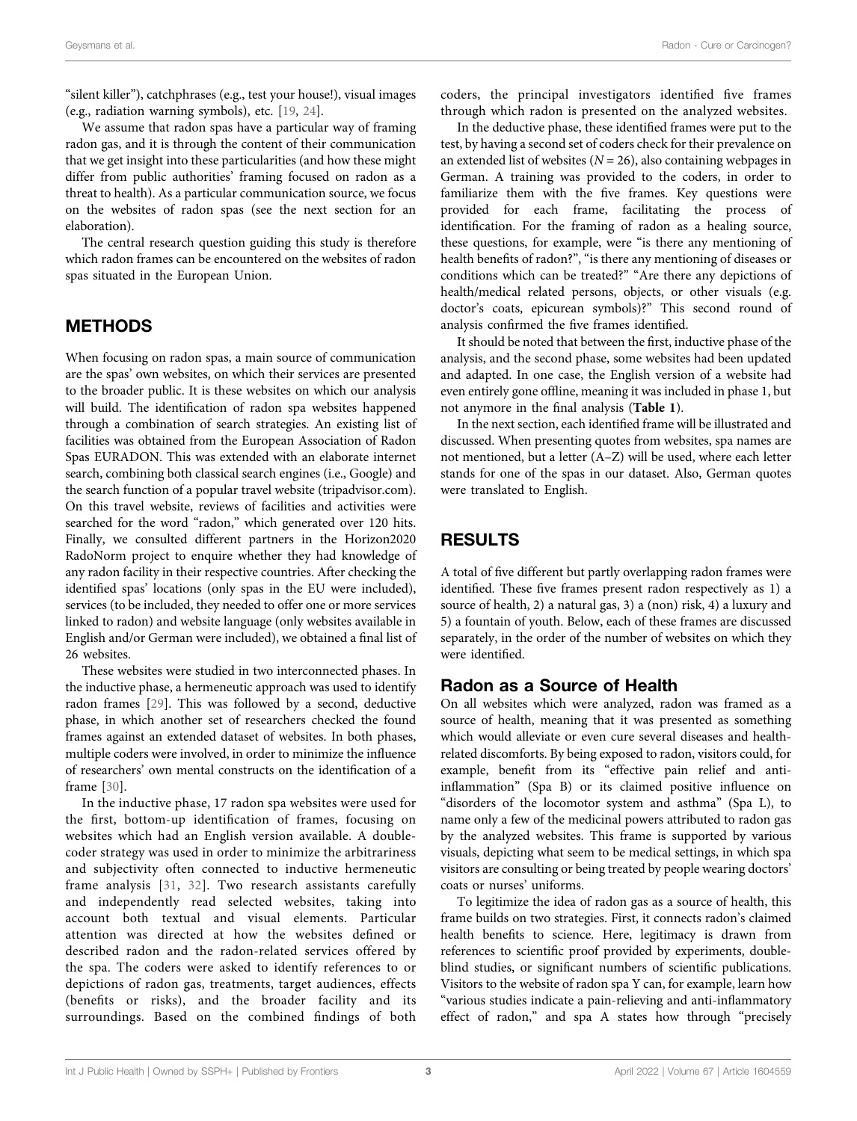"silent killer"), catchphrases (e.g., test your house!), visual images (e.g., radiation warning symbols), etc. [\[19](#page-5-13), [24\]](#page-5-18).

We assume that radon spas have a particular way of framing radon gas, and it is through the content of their communication that we get insight into these particularities (and how these might differ from public authorities' framing focused on radon as a threat to health). As a particular communication source, we focus on the websites of radon spas (see the next section for an elaboration).

The central research question guiding this study is therefore which radon frames can be encountered on the websites of radon spas situated in the European Union.

## METHODS

When focusing on radon spas, a main source of communication are the spas' own websites, on which their services are presented to the broader public. It is these websites on which our analysis will build. The identification of radon spa websites happened through a combination of search strategies. An existing list of facilities was obtained from the European Association of Radon Spas EURADON. This was extended with an elaborate internet search, combining both classical search engines (i.e., Google) and the search function of a popular travel website [\(tripadvisor.com\)](http://tripadvisor.com). On this travel website, reviews of facilities and activities were searched for the word "radon," which generated over 120 hits. Finally, we consulted different partners in the Horizon2020 RadoNorm project to enquire whether they had knowledge of any radon facility in their respective countries. After checking the identified spas' locations (only spas in the EU were included), services (to be included, they needed to offer one or more services linked to radon) and website language (only websites available in English and/or German were included), we obtained a final list of 26 websites.

These websites were studied in two interconnected phases. In the inductive phase, a hermeneutic approach was used to identify radon frames [[29\]](#page-5-23). This was followed by a second, deductive phase, in which another set of researchers checked the found frames against an extended dataset of websites. In both phases, multiple coders were involved, in order to minimize the influence of researchers' own mental constructs on the identification of a frame [[30\]](#page-5-24).

In the inductive phase, 17 radon spa websites were used for the first, bottom-up identification of frames, focusing on websites which had an English version available. A doublecoder strategy was used in order to minimize the arbitrariness and subjectivity often connected to inductive hermeneutic frame analysis [[31](#page-5-25), [32](#page-6-0)]. Two research assistants carefully and independently read selected websites, taking into account both textual and visual elements. Particular attention was directed at how the websites defined or described radon and the radon-related services offered by the spa. The coders were asked to identify references to or depictions of radon gas, treatments, target audiences, effects (benefits or risks), and the broader facility and its surroundings. Based on the combined findings of both

coders, the principal investigators identified five frames through which radon is presented on the analyzed websites.

In the deductive phase, these identified frames were put to the test, by having a second set of coders check for their prevalence on an extended list of websites ( $N = 26$ ), also containing webpages in German. A training was provided to the coders, in order to familiarize them with the five frames. Key questions were provided for each frame, facilitating the process of identification. For the framing of radon as a healing source, these questions, for example, were "is there any mentioning of health benefits of radon?", "is there any mentioning of diseases or conditions which can be treated?" "Are there any depictions of health/medical related persons, objects, or other visuals (e.g. doctor's coats, epicurean symbols)?" This second round of analysis confirmed the five frames identified.

It should be noted that between the first, inductive phase of the analysis, and the second phase, some websites had been updated and adapted. In one case, the English version of a website had even entirely gone offline, meaning it was included in phase 1, but not anymore in the final analysis ([Table 1](#page-3-0)).

In the next section, each identified frame will be illustrated and discussed. When presenting quotes from websites, spa names are not mentioned, but a letter (A–Z) will be used, where each letter stands for one of the spas in our dataset. Also, German quotes were translated to English.

# RESULTS

A total of five different but partly overlapping radon frames were identified. These five frames present radon respectively as 1) a source of health, 2) a natural gas, 3) a (non) risk, 4) a luxury and 5) a fountain of youth. Below, each of these frames are discussed separately, in the order of the number of websites on which they were identified.

#### Radon as a Source of Health

On all websites which were analyzed, radon was framed as a source of health, meaning that it was presented as something which would alleviate or even cure several diseases and healthrelated discomforts. By being exposed to radon, visitors could, for example, benefit from its "effective pain relief and antiinflammation" (Spa B) or its claimed positive influence on "disorders of the locomotor system and asthma" (Spa L), to name only a few of the medicinal powers attributed to radon gas by the analyzed websites. This frame is supported by various visuals, depicting what seem to be medical settings, in which spa visitors are consulting or being treated by people wearing doctors' coats or nurses' uniforms.

To legitimize the idea of radon gas as a source of health, this frame builds on two strategies. First, it connects radon's claimed health benefits to science. Here, legitimacy is drawn from references to scientific proof provided by experiments, doubleblind studies, or significant numbers of scientific publications. Visitors to the website of radon spa Y can, for example, learn how "various studies indicate a pain-relieving and anti-inflammatory effect of radon," and spa A states how through "precisely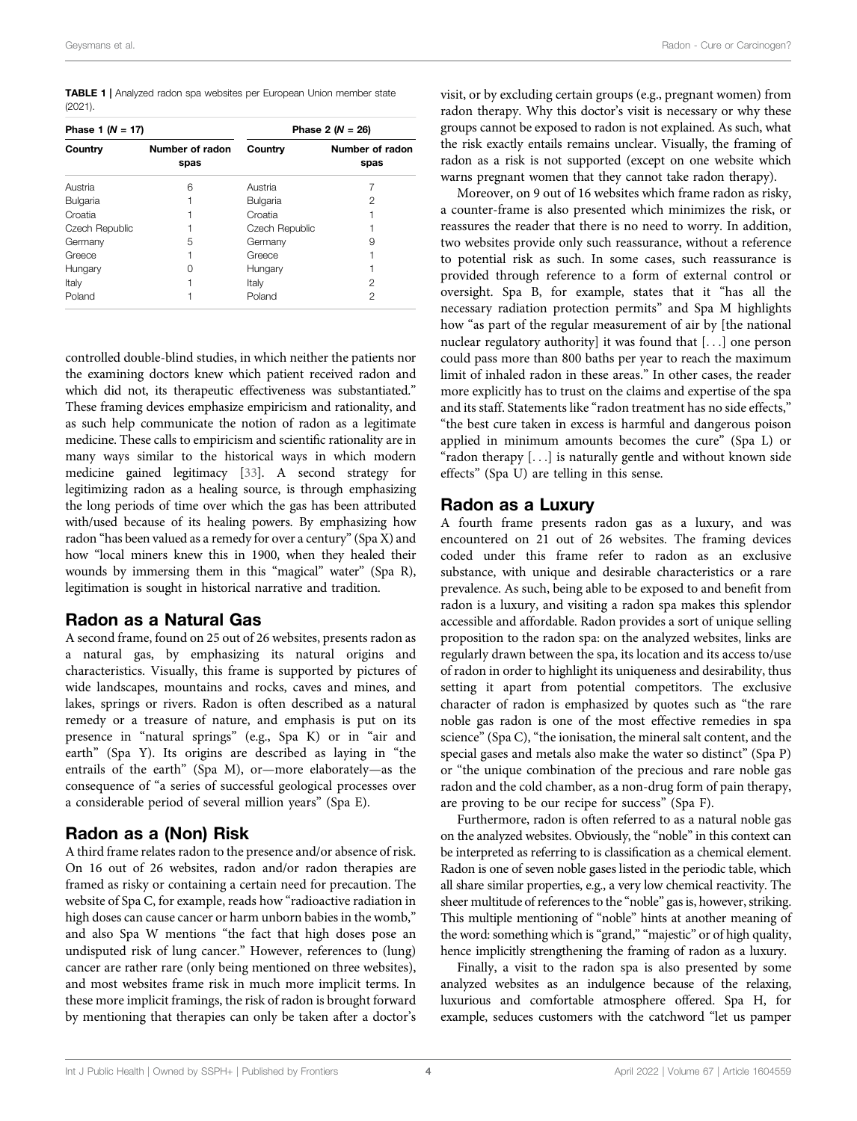<span id="page-3-0"></span>TABLE 1 | Analyzed radon spa websites per European Union member state (2021).

| Phase 1 $(N = 17)$ |                         | Phase 2 $(N = 26)$ |                         |
|--------------------|-------------------------|--------------------|-------------------------|
| Country            | Number of radon<br>spas | Country            | Number of radon<br>spas |
| Austria            | 6                       | Austria            |                         |
| Bulgaria           |                         | <b>Bulgaria</b>    | 2                       |
| Croatia            |                         | Croatia            |                         |
| Czech Republic     |                         | Czech Republic     |                         |
| Germany            | 5                       | Germany            | 9                       |
| Greece             |                         | Greece             |                         |
| Hungary            | $\left( \right)$        | Hungary            |                         |
| Italy              |                         | Italy              | 2                       |
| Poland             |                         | Poland             | 2                       |

controlled double-blind studies, in which neither the patients nor the examining doctors knew which patient received radon and which did not, its therapeutic effectiveness was substantiated." These framing devices emphasize empiricism and rationality, and as such help communicate the notion of radon as a legitimate medicine. These calls to empiricism and scientific rationality are in many ways similar to the historical ways in which modern medicine gained legitimacy [[33\]](#page-6-1). A second strategy for legitimizing radon as a healing source, is through emphasizing the long periods of time over which the gas has been attributed with/used because of its healing powers. By emphasizing how radon "has been valued as a remedy for over a century"(Spa X) and how "local miners knew this in 1900, when they healed their wounds by immersing them in this "magical" water" (Spa R), legitimation is sought in historical narrative and tradition.

#### Radon as a Natural Gas

A second frame, found on 25 out of 26 websites, presents radon as a natural gas, by emphasizing its natural origins and characteristics. Visually, this frame is supported by pictures of wide landscapes, mountains and rocks, caves and mines, and lakes, springs or rivers. Radon is often described as a natural remedy or a treasure of nature, and emphasis is put on its presence in "natural springs" (e.g., Spa K) or in "air and earth" (Spa Y). Its origins are described as laying in "the entrails of the earth" (Spa M), or—more elaborately—as the consequence of "a series of successful geological processes over a considerable period of several million years" (Spa E).

#### Radon as a (Non) Risk

A third frame relates radon to the presence and/or absence of risk. On 16 out of 26 websites, radon and/or radon therapies are framed as risky or containing a certain need for precaution. The website of Spa C, for example, reads how "radioactive radiation in high doses can cause cancer or harm unborn babies in the womb," and also Spa W mentions "the fact that high doses pose an undisputed risk of lung cancer." However, references to (lung) cancer are rather rare (only being mentioned on three websites), and most websites frame risk in much more implicit terms. In these more implicit framings, the risk of radon is brought forward by mentioning that therapies can only be taken after a doctor's

visit, or by excluding certain groups (e.g., pregnant women) from radon therapy. Why this doctor's visit is necessary or why these groups cannot be exposed to radon is not explained. As such, what the risk exactly entails remains unclear. Visually, the framing of radon as a risk is not supported (except on one website which warns pregnant women that they cannot take radon therapy).

Moreover, on 9 out of 16 websites which frame radon as risky, a counter-frame is also presented which minimizes the risk, or reassures the reader that there is no need to worry. In addition, two websites provide only such reassurance, without a reference to potential risk as such. In some cases, such reassurance is provided through reference to a form of external control or oversight. Spa B, for example, states that it "has all the necessary radiation protection permits" and Spa M highlights how "as part of the regular measurement of air by [the national nuclear regulatory authority] it was found that [...] one person could pass more than 800 baths per year to reach the maximum limit of inhaled radon in these areas." In other cases, the reader more explicitly has to trust on the claims and expertise of the spa and its staff. Statements like "radon treatment has no side effects," "the best cure taken in excess is harmful and dangerous poison applied in minimum amounts becomes the cure" (Spa L) or "radon therapy [...] is naturally gentle and without known side effects" (Spa U) are telling in this sense.

#### Radon as a Luxury

A fourth frame presents radon gas as a luxury, and was encountered on 21 out of 26 websites. The framing devices coded under this frame refer to radon as an exclusive substance, with unique and desirable characteristics or a rare prevalence. As such, being able to be exposed to and benefit from radon is a luxury, and visiting a radon spa makes this splendor accessible and affordable. Radon provides a sort of unique selling proposition to the radon spa: on the analyzed websites, links are regularly drawn between the spa, its location and its access to/use of radon in order to highlight its uniqueness and desirability, thus setting it apart from potential competitors. The exclusive character of radon is emphasized by quotes such as "the rare noble gas radon is one of the most effective remedies in spa science" (Spa C), "the ionisation, the mineral salt content, and the special gases and metals also make the water so distinct" (Spa P) or "the unique combination of the precious and rare noble gas radon and the cold chamber, as a non-drug form of pain therapy, are proving to be our recipe for success" (Spa F).

Furthermore, radon is often referred to as a natural noble gas on the analyzed websites. Obviously, the "noble" in this context can be interpreted as referring to is classification as a chemical element. Radon is one of seven noble gases listed in the periodic table, which all share similar properties, e.g., a very low chemical reactivity. The sheer multitude of references to the "noble" gas is, however, striking. This multiple mentioning of "noble" hints at another meaning of the word: something which is "grand," "majestic" or of high quality, hence implicitly strengthening the framing of radon as a luxury.

Finally, a visit to the radon spa is also presented by some analyzed websites as an indulgence because of the relaxing, luxurious and comfortable atmosphere offered. Spa H, for example, seduces customers with the catchword "let us pamper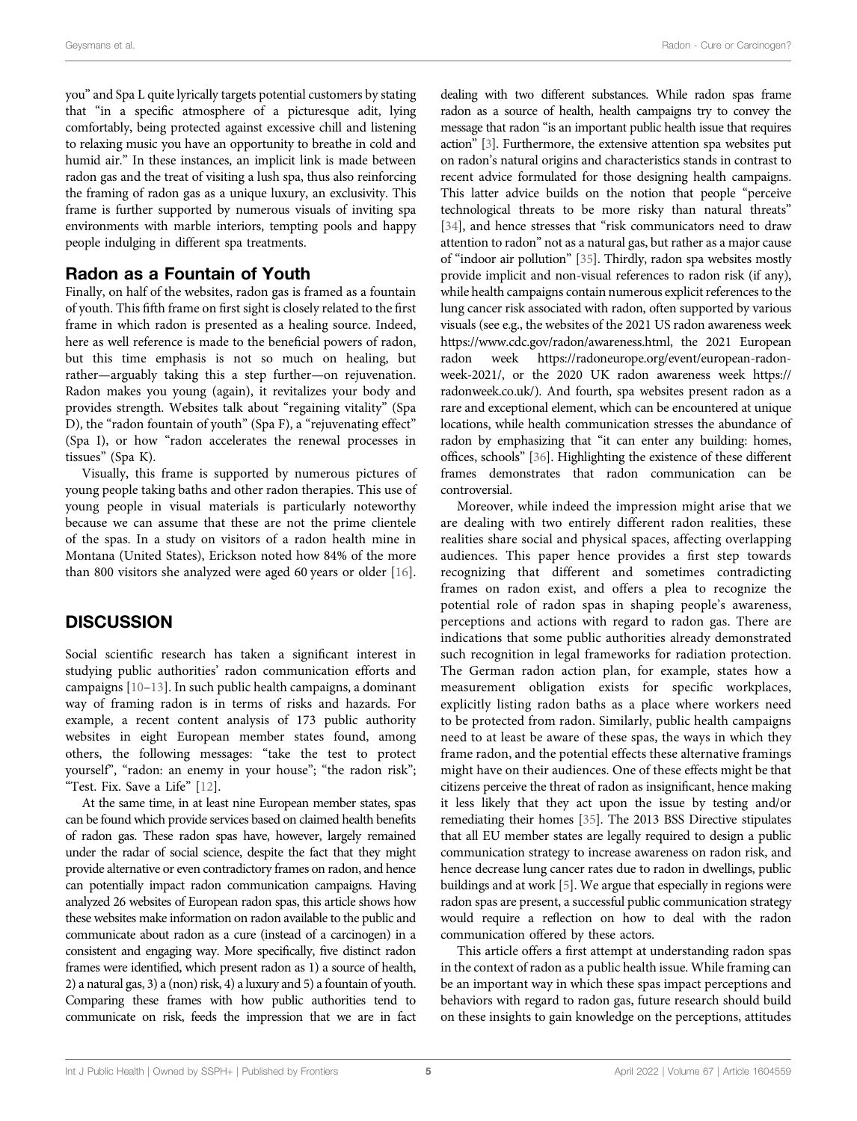you" and Spa L quite lyrically targets potential customers by stating that "in a specific atmosphere of a picturesque adit, lying comfortably, being protected against excessive chill and listening to relaxing music you have an opportunity to breathe in cold and humid air." In these instances, an implicit link is made between radon gas and the treat of visiting a lush spa, thus also reinforcing the framing of radon gas as a unique luxury, an exclusivity. This frame is further supported by numerous visuals of inviting spa environments with marble interiors, tempting pools and happy people indulging in different spa treatments.

#### Radon as a Fountain of Youth

Finally, on half of the websites, radon gas is framed as a fountain of youth. This fifth frame on first sight is closely related to the first frame in which radon is presented as a healing source. Indeed, here as well reference is made to the beneficial powers of radon, but this time emphasis is not so much on healing, but rather—arguably taking this a step further—on rejuvenation. Radon makes you young (again), it revitalizes your body and provides strength. Websites talk about "regaining vitality" (Spa D), the "radon fountain of youth" (Spa F), a "rejuvenating effect" (Spa I), or how "radon accelerates the renewal processes in tissues" (Spa K).

Visually, this frame is supported by numerous pictures of young people taking baths and other radon therapies. This use of young people in visual materials is particularly noteworthy because we can assume that these are not the prime clientele of the spas. In a study on visitors of a radon health mine in Montana (United States), Erickson noted how 84% of the more than 800 visitors she analyzed were aged 60 years or older [[16\]](#page-5-26).

#### **DISCUSSION**

Social scientific research has taken a significant interest in studying public authorities' radon communication efforts and campaigns [[10](#page-5-9)–[13\]](#page-5-27). In such public health campaigns, a dominant way of framing radon is in terms of risks and hazards. For example, a recent content analysis of 173 public authority websites in eight European member states found, among others, the following messages: "take the test to protect yourself", "radon: an enemy in your house"; "the radon risk"; "Test. Fix. Save a Life" [\[12](#page-5-28)].

At the same time, in at least nine European member states, spas can be found which provide services based on claimed health benefits of radon gas. These radon spas have, however, largely remained under the radar of social science, despite the fact that they might provide alternative or even contradictory frames on radon, and hence can potentially impact radon communication campaigns. Having analyzed 26 websites of European radon spas, this article shows how these websites make information on radon available to the public and communicate about radon as a cure (instead of a carcinogen) in a consistent and engaging way. More specifically, five distinct radon frames were identified, which present radon as 1) a source of health, 2) a natural gas, 3) a (non) risk, 4) a luxury and 5) a fountain of youth. Comparing these frames with how public authorities tend to communicate on risk, feeds the impression that we are in fact dealing with two different substances. While radon spas frame radon as a source of health, health campaigns try to convey the message that radon "is an important public health issue that requires action" [\[3\]](#page-5-2). Furthermore, the extensive attention spa websites put on radon's natural origins and characteristics stands in contrast to recent advice formulated for those designing health campaigns. This latter advice builds on the notion that people "perceive technological threats to be more risky than natural threats" [\[34](#page-6-2)], and hence stresses that "risk communicators need to draw attention to radon" not as a natural gas, but rather as a major cause of "indoor air pollution" [\[35\]](#page-6-3). Thirdly, radon spa websites mostly provide implicit and non-visual references to radon risk (if any), while health campaigns contain numerous explicit references to the lung cancer risk associated with radon, often supported by various visuals (see e.g., the websites of the 2021 US radon awareness week [https://www.cdc.gov/radon/awareness.html,](https://www.cdc.gov/radon/awareness.html) the 2021 European radon week [https://radoneurope.org/event/european-radon](https://radoneurope.org/event/european-radon-week-2021/)[week-2021/,](https://radoneurope.org/event/european-radon-week-2021/) or the 2020 UK radon awareness week [https://](https://radonweek.co.uk/) [radonweek.co.uk/](https://radonweek.co.uk/)). And fourth, spa websites present radon as a rare and exceptional element, which can be encountered at unique locations, while health communication stresses the abundance of radon by emphasizing that "it can enter any building: homes, offices, schools" [[36\]](#page-6-4). Highlighting the existence of these different frames demonstrates that radon communication can be controversial.

Moreover, while indeed the impression might arise that we are dealing with two entirely different radon realities, these realities share social and physical spaces, affecting overlapping audiences. This paper hence provides a first step towards recognizing that different and sometimes contradicting frames on radon exist, and offers a plea to recognize the potential role of radon spas in shaping people's awareness, perceptions and actions with regard to radon gas. There are indications that some public authorities already demonstrated such recognition in legal frameworks for radiation protection. The German radon action plan, for example, states how a measurement obligation exists for specific workplaces, explicitly listing radon baths as a place where workers need to be protected from radon. Similarly, public health campaigns need to at least be aware of these spas, the ways in which they frame radon, and the potential effects these alternative framings might have on their audiences. One of these effects might be that citizens perceive the threat of radon as insignificant, hence making it less likely that they act upon the issue by testing and/or remediating their homes [\[35\]](#page-6-3). The 2013 BSS Directive stipulates that all EU member states are legally required to design a public communication strategy to increase awareness on radon risk, and hence decrease lung cancer rates due to radon in dwellings, public buildings and at work [\[5\]](#page-5-4). We argue that especially in regions were radon spas are present, a successful public communication strategy would require a reflection on how to deal with the radon communication offered by these actors.

This article offers a first attempt at understanding radon spas in the context of radon as a public health issue. While framing can be an important way in which these spas impact perceptions and behaviors with regard to radon gas, future research should build on these insights to gain knowledge on the perceptions, attitudes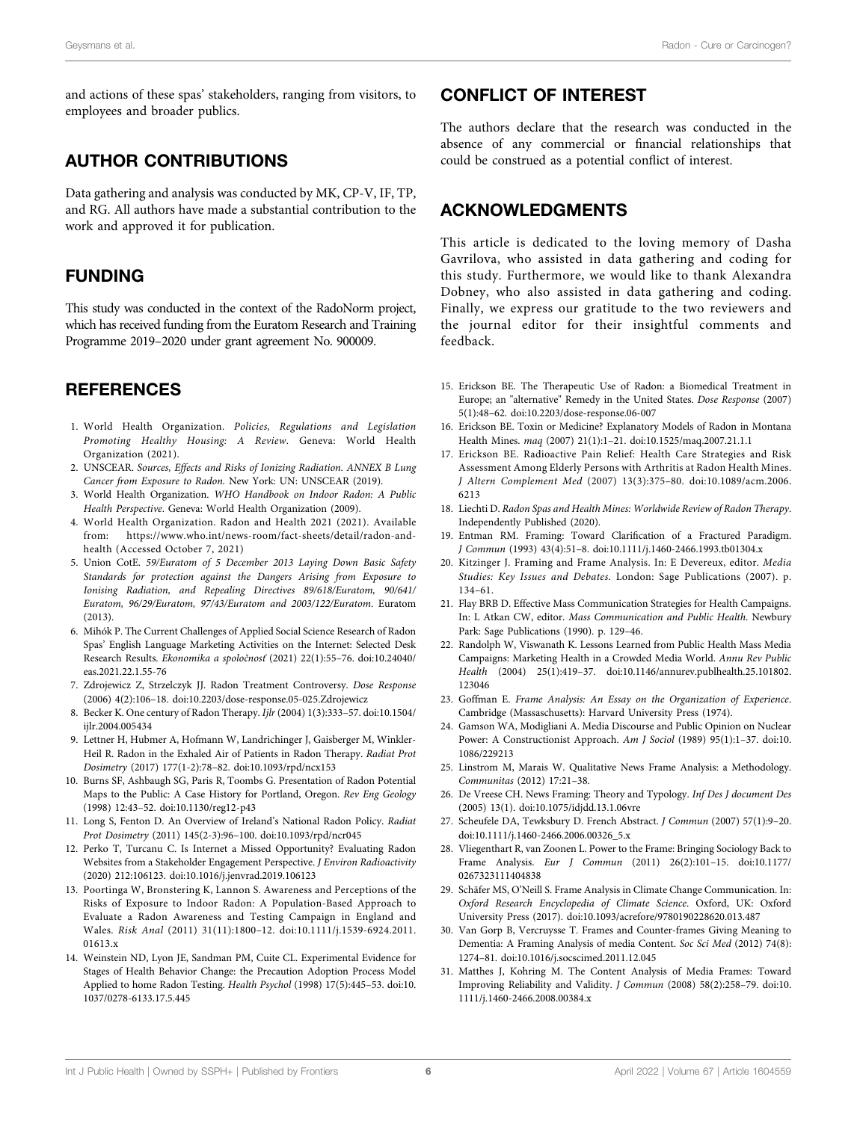and actions of these spas' stakeholders, ranging from visitors, to employees and broader publics.

## AUTHOR CONTRIBUTIONS

Data gathering and analysis was conducted by MK, CP-V, IF, TP, and RG. All authors have made a substantial contribution to the work and approved it for publication.

### FUNDING

This study was conducted in the context of the RadoNorm project, which has received funding from the Euratom Research and Training Programme 2019–2020 under grant agreement No. 900009.

# **REFERENCES**

- <span id="page-5-0"></span>1. World Health Organization. Policies, Regulations and Legislation Promoting Healthy Housing: A Review. Geneva: World Health Organization (2021).
- <span id="page-5-1"></span>2. UNSCEAR. Sources, Effects and Risks of Ionizing Radiation. ANNEX B Lung Cancer from Exposure to Radon. New York: UN: UNSCEAR (2019).
- <span id="page-5-2"></span>3. World Health Organization. WHO Handbook on Indoor Radon: A Public Health Perspective. Geneva: World Health Organization (2009).
- <span id="page-5-3"></span>4. World Health Organization. Radon and Health 2021 (2021). Available from: [https://www.who.int/news-room/fact-sheets/detail/radon-and](https://www.who.int/news-room/fact-sheets/detail/radon-and-health)[health](https://www.who.int/news-room/fact-sheets/detail/radon-and-health) (Accessed October 7, 2021)
- <span id="page-5-4"></span>5. Union CotE. 59/Euratom of 5 December 2013 Laying Down Basic Safety Standards for protection against the Dangers Arising from Exposure to Ionising Radiation, and Repealing Directives 89/618/Euratom, 90/641/ Euratom, 96/29/Euratom, 97/43/Euratom and 2003/122/Euratom. Euratom (2013).
- <span id="page-5-5"></span>6. Mihók P. The Current Challenges of Applied Social Science Research of Radon Spas' English Language Marketing Activities on the Internet: Selected Desk Research Results. Ekonomika a spoločnosť (2021) 22(1):55–76. doi:[10.24040/](https://doi.org/10.24040/eas.2021.22.1.55-76) [eas.2021.22.1.55-76](https://doi.org/10.24040/eas.2021.22.1.55-76)
- <span id="page-5-6"></span>7. Zdrojewicz Z, Strzelczyk JJ. Radon Treatment Controversy. Dose Response (2006) 4(2):106–18. doi[:10.2203/dose-response.05-025.Zdrojewicz](https://doi.org/10.2203/dose-response.05-025.Zdrojewicz)
- <span id="page-5-7"></span>8. Becker K. One century of Radon Therapy. Ijlr (2004) 1(3):333–57. doi:[10.1504/](https://doi.org/10.1504/ijlr.2004.005434) [ijlr.2004.005434](https://doi.org/10.1504/ijlr.2004.005434)
- <span id="page-5-8"></span>9. Lettner H, Hubmer A, Hofmann W, Landrichinger J, Gaisberger M, Winkler-Heil R. Radon in the Exhaled Air of Patients in Radon Therapy. Radiat Prot Dosimetry (2017) 177(1-2):78–82. doi:[10.1093/rpd/ncx153](https://doi.org/10.1093/rpd/ncx153)
- <span id="page-5-9"></span>10. Burns SF, Ashbaugh SG, Paris R, Toombs G. Presentation of Radon Potential Maps to the Public: A Case History for Portland, Oregon. Rev Eng Geology (1998) 12:43–52. doi[:10.1130/reg12-p43](https://doi.org/10.1130/reg12-p43)
- 11. Long S, Fenton D. An Overview of Ireland's National Radon Policy. Radiat Prot Dosimetry (2011) 145(2-3):96–100. doi[:10.1093/rpd/ncr045](https://doi.org/10.1093/rpd/ncr045)
- <span id="page-5-28"></span>12. Perko T, Turcanu C. Is Internet a Missed Opportunity? Evaluating Radon Websites from a Stakeholder Engagement Perspective. J Environ Radioactivity (2020) 212:106123. doi[:10.1016/j.jenvrad.2019.106123](https://doi.org/10.1016/j.jenvrad.2019.106123)
- <span id="page-5-27"></span>13. Poortinga W, Bronstering K, Lannon S. Awareness and Perceptions of the Risks of Exposure to Indoor Radon: A Population-Based Approach to Evaluate a Radon Awareness and Testing Campaign in England and Wales. Risk Anal (2011) 31(11):1800–12. doi[:10.1111/j.1539-6924.2011.](https://doi.org/10.1111/j.1539-6924.2011.01613.x) [01613.x](https://doi.org/10.1111/j.1539-6924.2011.01613.x)
- <span id="page-5-10"></span>14. Weinstein ND, Lyon JE, Sandman PM, Cuite CL. Experimental Evidence for Stages of Health Behavior Change: the Precaution Adoption Process Model Applied to home Radon Testing. Health Psychol (1998) 17(5):445–53. doi[:10.](https://doi.org/10.1037/0278-6133.17.5.445) [1037/0278-6133.17.5.445](https://doi.org/10.1037/0278-6133.17.5.445)

## CONFLICT OF INTEREST

The authors declare that the research was conducted in the absence of any commercial or financial relationships that could be construed as a potential conflict of interest.

### ACKNOWLEDGMENTS

This article is dedicated to the loving memory of Dasha Gavrilova, who assisted in data gathering and coding for this study. Furthermore, we would like to thank Alexandra Dobney, who also assisted in data gathering and coding. Finally, we express our gratitude to the two reviewers and the journal editor for their insightful comments and feedback.

- <span id="page-5-11"></span>15. Erickson BE. The Therapeutic Use of Radon: a Biomedical Treatment in Europe; an "alternative" Remedy in the United States. Dose Response (2007) 5(1):48–62. doi[:10.2203/dose-response.06-007](https://doi.org/10.2203/dose-response.06-007)
- <span id="page-5-26"></span>16. Erickson BE. Toxin or Medicine? Explanatory Models of Radon in Montana Health Mines. maq (2007) 21(1):1–21. doi:[10.1525/maq.2007.21.1.1](https://doi.org/10.1525/maq.2007.21.1.1)
- 17. Erickson BE. Radioactive Pain Relief: Health Care Strategies and Risk Assessment Among Elderly Persons with Arthritis at Radon Health Mines. J Altern Complement Med (2007) 13(3):375–80. doi:[10.1089/acm.2006.](https://doi.org/10.1089/acm.2006.6213) [6213](https://doi.org/10.1089/acm.2006.6213)
- <span id="page-5-12"></span>18. Liechti D. Radon Spas and Health Mines: Worldwide Review of Radon Therapy. Independently Published (2020).
- <span id="page-5-13"></span>19. Entman RM. Framing: Toward Clarification of a Fractured Paradigm. J Commun (1993) 43(4):51–8. doi[:10.1111/j.1460-2466.1993.tb01304.x](https://doi.org/10.1111/j.1460-2466.1993.tb01304.x)
- <span id="page-5-14"></span>20. Kitzinger J. Framing and Frame Analysis. In: E Devereux, editor. Media Studies: Key Issues and Debates. London: Sage Publications (2007). p. 134–61.
- <span id="page-5-15"></span>21. Flay BRB D. Effective Mass Communication Strategies for Health Campaigns. In: L Atkan CW, editor. Mass Communication and Public Health. Newbury Park: Sage Publications (1990). p. 129–46.
- <span id="page-5-16"></span>22. Randolph W, Viswanath K. Lessons Learned from Public Health Mass Media Campaigns: Marketing Health in a Crowded Media World. Annu Rev Public Health (2004) 25(1):419–37. doi:[10.1146/annurev.publhealth.25.101802.](https://doi.org/10.1146/annurev.publhealth.25.101802.123046) [123046](https://doi.org/10.1146/annurev.publhealth.25.101802.123046)
- <span id="page-5-17"></span>23. Goffman E. Frame Analysis: An Essay on the Organization of Experience. Cambridge (Massaschusetts): Harvard University Press (1974).
- <span id="page-5-18"></span>24. Gamson WA, Modigliani A. Media Discourse and Public Opinion on Nuclear Power: A Constructionist Approach. Am J Sociol (1989) 95(1):1–37. doi[:10.](https://doi.org/10.1086/229213) [1086/229213](https://doi.org/10.1086/229213)
- <span id="page-5-19"></span>25. Linstrom M, Marais W. Qualitative News Frame Analysis: a Methodology. Communitas (2012) 17:21–38.
- <span id="page-5-20"></span>26. De Vreese CH. News Framing: Theory and Typology. Inf Des J document Des (2005) 13(1). doi:[10.1075/idjdd.13.1.06vre](https://doi.org/10.1075/idjdd.13.1.06vre)
- <span id="page-5-21"></span>27. Scheufele DA, Tewksbury D. French Abstract. J Commun (2007) 57(1):9–20. doi:[10.1111/j.1460-2466.2006.00326\\_5.x](https://doi.org/10.1111/j.1460-2466.2006.00326_5.x)
- <span id="page-5-22"></span>28. Vliegenthart R, van Zoonen L. Power to the Frame: Bringing Sociology Back to Frame Analysis. Eur J Commun (2011) 26(2):101–15. doi[:10.1177/](https://doi.org/10.1177/0267323111404838) [0267323111404838](https://doi.org/10.1177/0267323111404838)
- <span id="page-5-23"></span>29. Schäfer MS, O'Neill S. Frame Analysis in Climate Change Communication. In: Oxford Research Encyclopedia of Climate Science. Oxford, UK: Oxford University Press (2017). doi[:10.1093/acrefore/9780190228620.013.487](https://doi.org/10.1093/acrefore/9780190228620.013.487)
- <span id="page-5-24"></span>30. Van Gorp B, Vercruysse T. Frames and Counter-frames Giving Meaning to Dementia: A Framing Analysis of media Content. Soc Sci Med (2012) 74(8): 1274–81. doi[:10.1016/j.socscimed.2011.12.045](https://doi.org/10.1016/j.socscimed.2011.12.045)
- <span id="page-5-25"></span>31. Matthes J, Kohring M. The Content Analysis of Media Frames: Toward Improving Reliability and Validity. J Commun (2008) 58(2):258–79. doi[:10.](https://doi.org/10.1111/j.1460-2466.2008.00384.x) [1111/j.1460-2466.2008.00384.x](https://doi.org/10.1111/j.1460-2466.2008.00384.x)